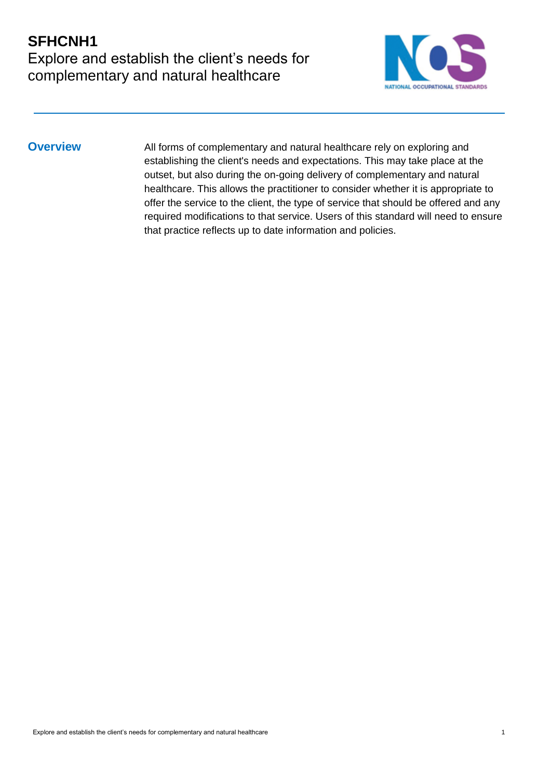## **SFHCNH1** Explore and establish the client's needs for complementary and natural healthcare



**Overview** All forms of complementary and natural healthcare rely on exploring and establishing the client's needs and expectations. This may take place at the outset, but also during the on-going delivery of complementary and natural healthcare. This allows the practitioner to consider whether it is appropriate to offer the service to the client, the type of service that should be offered and any required modifications to that service. Users of this standard will need to ensure that practice reflects up to date information and policies.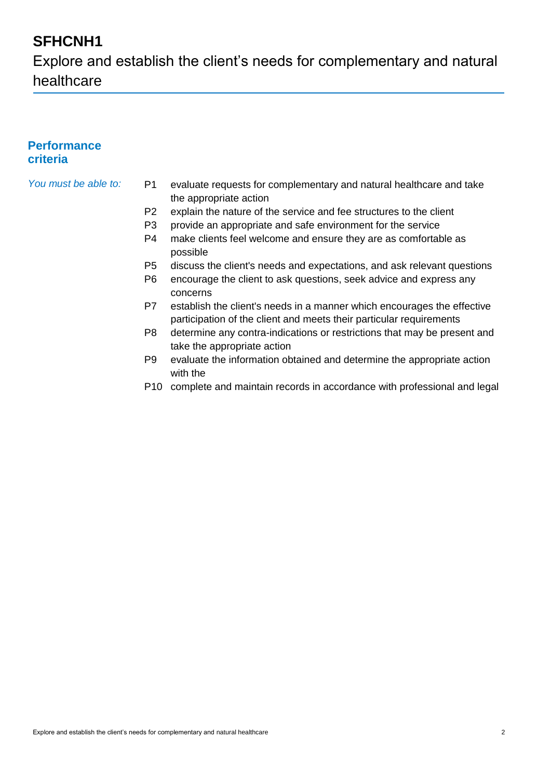Explore and establish the client's needs for complementary and natural healthcare

### **Performance criteria**

- *You must be able to:* P1 evaluate requests for complementary and natural healthcare and take the appropriate action
	- P2 explain the nature of the service and fee structures to the client
	- P3 provide an appropriate and safe environment for the service
	- P4 make clients feel welcome and ensure they are as comfortable as possible
	- P5 discuss the client's needs and expectations, and ask relevant questions
	- P6 encourage the client to ask questions, seek advice and express any concerns
	- P7 establish the client's needs in a manner which encourages the effective participation of the client and meets their particular requirements
	- P8 determine any contra-indications or restrictions that may be present and take the appropriate action
	- P9 evaluate the information obtained and determine the appropriate action with the
	- P10 complete and maintain records in accordance with professional and legal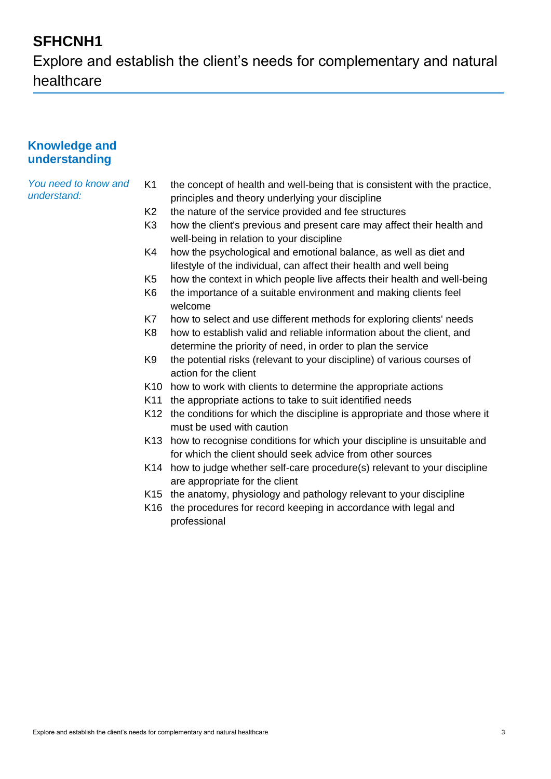Explore and establish the client's needs for complementary and natural healthcare

### **Knowledge and understanding**

*You need to know and understand:*

- K1 the concept of health and well-being that is consistent with the practice, principles and theory underlying your discipline
- K2 the nature of the service provided and fee structures
- K3 how the client's previous and present care may affect their health and well-being in relation to your discipline
- K4 how the psychological and emotional balance, as well as diet and lifestyle of the individual, can affect their health and well being
- K5 how the context in which people live affects their health and well-being
- K6 the importance of a suitable environment and making clients feel welcome
- K7 how to select and use different methods for exploring clients' needs
- K8 how to establish valid and reliable information about the client, and determine the priority of need, in order to plan the service
- K9 the potential risks (relevant to your discipline) of various courses of action for the client
- K10 how to work with clients to determine the appropriate actions
- K11 the appropriate actions to take to suit identified needs
- K12 the conditions for which the discipline is appropriate and those where it must be used with caution
- K13 how to recognise conditions for which your discipline is unsuitable and for which the client should seek advice from other sources
- K14 how to judge whether self-care procedure(s) relevant to your discipline are appropriate for the client
- K15 the anatomy, physiology and pathology relevant to your discipline
- K16 the procedures for record keeping in accordance with legal and professional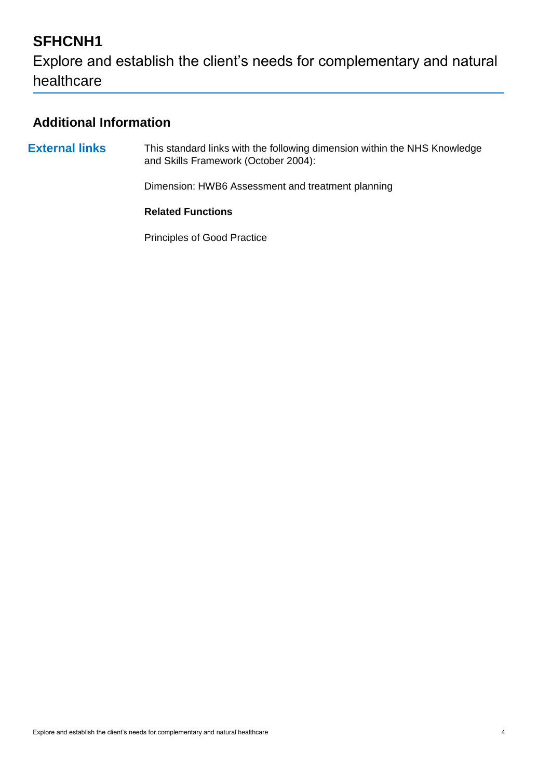Explore and establish the client's needs for complementary and natural healthcare

## **Additional Information**

**External links** This standard links with the following dimension within the NHS Knowledge and Skills Framework (October 2004):

Dimension: HWB6 Assessment and treatment planning

#### **Related Functions**

Principles of Good Practice